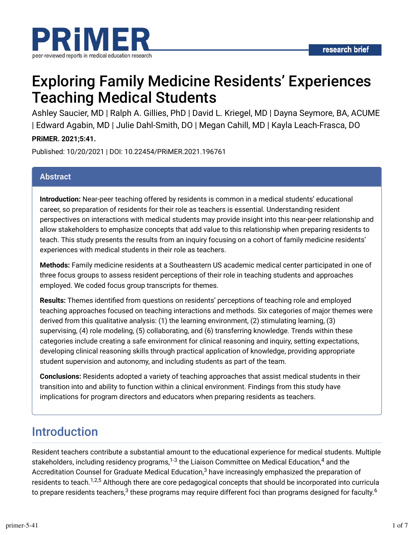

# Exploring Family Medicine Residents' Experiences Teaching Medical Students

Ashley Saucier, MD | Ralph A. Gillies, PhD | David L. Kriegel, MD | Dayna Seymore, BA, ACUME | Edward Agabin, MD | Julie Dahl-Smith, DO | Megan Cahill, MD | Kayla Leach-Frasca, DO **PRiMER. 2021;5:41.**

Published: 10/20/2021 | DOI: 10.22454/PRiMER.2021.196761

#### **Abstract**

**Introduction:** Near-peer teaching offered by residents is common in a medical students' educational career, so preparation of residents for their role as teachers is essential. Understanding resident perspectives on interactions with medical students may provide insight into this near-peer relationship and allow stakeholders to emphasize concepts that add value to this relationship when preparing residents to teach. This study presents the results from an inquiry focusing on a cohort of family medicine residents' experiences with medical students in their role as teachers.

**Methods:** Family medicine residents at a Southeastern US academic medical center participated in one of three focus groups to assess resident perceptions of their role in teaching students and approaches employed. We coded focus group transcripts for themes.

Results: Themes identified from questions on residents' perceptions of teaching role and employed teaching approaches focused on teaching interactions and methods. Six categories of major themes were derived from this qualitative analysis: (1) the learning environment, (2) stimulating learning, (3) supervising, (4) role modeling, (5) collaborating, and (6) transferring knowledge. Trends within these categories include creating a safe environment for clinical reasoning and inquiry, setting expectations, developing clinical reasoning skills through practical application of knowledge, providing appropriate student supervision and autonomy, and including students as part of the team.

**Conclusions:** Residents adopted a variety of teaching approaches that assist medical students in their transition into and ability to function within a clinical environment. Findings from this study have implications for program directors and educators when preparing residents as teachers.

### Introduction

Resident teachers contribute a substantial amount to the educational experience for medical students. Multiple stakeholders, including residency programs, $^{1\text{-}3}$  the Liaison Committee on Medical Education, $^4$  and the Accreditation Counsel for Graduate Medical Education, $^3$  have increasingly emphasized the preparation of residents to teach.<sup>1,2,5</sup> Although there are core pedagogical concepts that should be incorporated into curricula to prepare residents teachers, $^3$  these programs may require different foci than programs designed for faculty. $^6$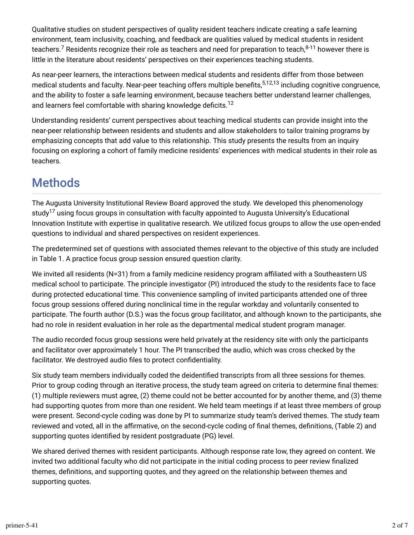Qualitative studies on student perspectives of quality resident teachers indicate creating a safe learning environment, team inclusivity, coaching, and feedback are qualities valued by medical students in resident teachers.<sup>7</sup> Residents recognize their role as teachers and need for preparation to teach, $^{8\text{-}11}$  however there is little in the literature about residents' perspectives on their experiences teaching students.

As near-peer learners, the interactions between medical students and residents differ from those between medical students and faculty. Near-peer teaching offers multiple benefits,<sup>5,12,13</sup> including cognitive congruence, and the ability to foster a safe learning environment, because teachers better understand learner challenges, and learners feel comfortable with sharing knowledge deficits. $^{12}$ 

Understanding residents' current perspectives about teaching medical students can provide insight into the near-peer relationship between residents and students and allow stakeholders to tailor training programs by emphasizing concepts that add value to this relationship. This study presents the results from an inquiry focusing on exploring a cohort of family medicine residents' experiences with medical students in their role as teachers.

### **Methods**

The Augusta University Institutional Review Board approved the study. We developed this phenomenology study $^{17}$  using focus groups in consultation with faculty appointed to Augusta University's Educational Innovation Institute with expertise in qualitative research. We utilized focus groups to allow the use open-ended questions to individual and shared perspectives on resident experiences.

The predetermined set of questions with associated themes relevant to the objective of this study are included in Table 1. A practice focus group session ensured question clarity.

We invited all residents ( $N=31$ ) from a family medicine residency program affiliated with a Southeastern US medical school to participate. The principle investigator (PI) introduced the study to the residents face to face during protected educational time. This convenience sampling of invited participants attended one of three focus group sessions offered during nonclinical time in the regular workday and voluntarily consented to participate. The fourth author (D.S.) was the focus group facilitator, and although known to the participants, she had no role in resident evaluation in her role as the departmental medical student program manager.

The audio recorded focus group sessions were held privately at the residency site with only the participants and facilitator over approximately 1 hour. The PI transcribed the audio, which was cross checked by the facilitator. We destroyed audio files to protect confidentiality.

Six study team members individually coded the deidentified transcripts from all three sessions for themes. Prior to group coding through an iterative process, the study team agreed on criteria to determine final themes: (1) multiple reviewers must agree, (2) theme could not be better accounted for by another theme, and (3) theme had supporting quotes from more than one resident. We held team meetings if at least three members of group were present. Second-cycle coding was done by PI to summarize study team's derived themes. The study team reviewed and voted, all in the affirmative, on the second-cycle coding of final themes, definitions, (Table 2) and supporting quotes identified by resident postgraduate (PG) level.

We shared derived themes with resident participants. Although response rate low, they agreed on content. We invited two additional faculty who did not participate in the initial coding process to peer review finalized themes, definitions, and supporting quotes, and they agreed on the relationship between themes and supporting quotes.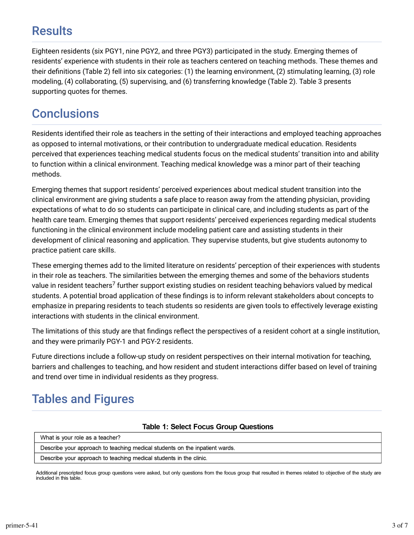## **Results**

Eighteen residents (six PGY1, nine PGY2, and three PGY3) participated in the study. Emerging themes of residents' experience with students in their role as teachers centered on teaching methods. These themes and their definitions (Table 2) fell into six categories: (1) the learning environment, (2) stimulating learning, (3) role modeling, (4) collaborating, (5) supervising, and (6) transferring knowledge (Table 2). Table 3 presents supporting quotes for themes.

## **Conclusions**

Residents identified their role as teachers in the setting of their interactions and employed teaching approaches as opposed to internal motivations, or their contribution to undergraduate medical education. Residents perceived that experiences teaching medical students focus on the medical students' transition into and ability to function within a clinical environment. Teaching medical knowledge was a minor part of their teaching methods.

Emerging themes that support residents' perceived experiences about medical student transition into the clinical environment are giving students a safe place to reason away from the attending physician, providing expectations of what to do so students can participate in clinical care, and including students as part of the health care team. Emerging themes that support residents' perceived experiences regarding medical students functioning in the clinical environment include modeling patient care and assisting students in their development of clinical reasoning and application. They supervise students, but give students autonomy to practice patient care skills.

These emerging themes add to the limited literature on residents' perception of their experiences with students in their role as teachers. The similarities between the emerging themes and some of the behaviors students value in resident teachers<sup>7</sup> further support existing studies on resident teaching behaviors valued by medical students. A potential broad application of these findings is to inform relevant stakeholders about concepts to emphasize in preparing residents to teach students so residents are given tools to effectively leverage existing interactions with students in the clinical environment.

The limitations of this study are that findings reflect the perspectives of a resident cohort at a single institution, and they were primarily PGY-1 and PGY-2 residents.

Future directions include a follow-up study on resident perspectives on their internal motivation for teaching, barriers and challenges to teaching, and how resident and student interactions differ based on level of training and trend over time in individual residents as they progress.

## Tables and Figures

#### **Table 1: Select Focus Group Questions**

| What is your role as a teacher?                                             |  |  |
|-----------------------------------------------------------------------------|--|--|
| Describe your approach to teaching medical students on the inpatient wards. |  |  |
| Describe your approach to teaching medical students in the clinic.          |  |  |

Additional prescripted focus group questions were asked, but only questions from the focus group that resulted in themes related to objective of the study are included in this table.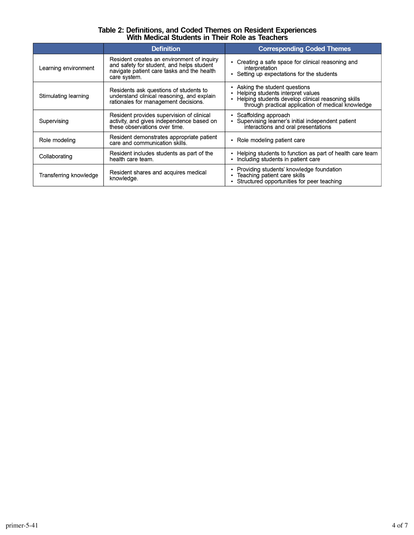# Table 2: Definitions, and Coded Themes on Resident Experiences<br>With Medical Students in Their Role as Teachers

|                        | <b>Definition</b>                                                                                                                                     | <b>Corresponding Coded Themes</b>                                                                                                                                             |
|------------------------|-------------------------------------------------------------------------------------------------------------------------------------------------------|-------------------------------------------------------------------------------------------------------------------------------------------------------------------------------|
| Learning environment   | Resident creates an environment of inquiry<br>and safety for student, and helps student<br>navigate patient care tasks and the health<br>care system. | Creating a safe space for clinical reasoning and<br>interpretation<br>• Setting up expectations for the students                                                              |
| Stimulating learning   | Residents ask questions of students to<br>understand clinical reasoning, and explain<br>rationales for management decisions.                          | Asking the student questions<br>Helping students interpret values<br>Helping students develop clinical reasoning skills<br>through practical application of medical knowledge |
| Supervising            | Resident provides supervision of clinical<br>activity, and gives independence based on<br>these observations over time.                               | Scaffolding approach<br>Supervising learner's initial independent patient<br>interactions and oral presentations                                                              |
| Role modeling          | Resident demonstrates appropriate patient<br>care and communication skills.                                                                           | • Role modeling patient care                                                                                                                                                  |
| Collaborating          | Resident includes students as part of the<br>health care team.                                                                                        | Helping students to function as part of health care team<br>Including students in patient care                                                                                |
| Transferring knowledge | Resident shares and acquires medical<br>knowledge.                                                                                                    | Providing students' knowledge foundation<br>Teaching patient care skills<br>Structured opportunities for peer teaching                                                        |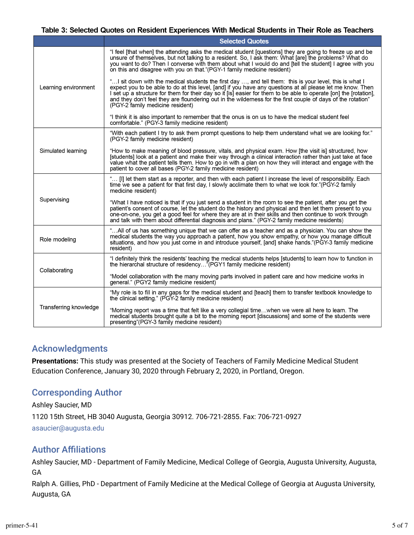#### Table 3: Selected Quotes on Resident Experiences With Medical Students in Their Role as Teachers

|                        | <b>Selected Quotes</b>                                                                                                                                                                                                                                                                                                                                                                                                                                                                          |  |
|------------------------|-------------------------------------------------------------------------------------------------------------------------------------------------------------------------------------------------------------------------------------------------------------------------------------------------------------------------------------------------------------------------------------------------------------------------------------------------------------------------------------------------|--|
| Learning environment   | "I feel [that when] the attending asks the medical student [questions] they are going to freeze up and be<br>unsure of themselves, but not talking to a resident. So, I ask them: What [are] the problems? What do<br>you want to do? Then I converse with them about what I would do and [tell the student] I agree with you<br>on this and disagree with you on that."(PGY-1 family medicine resident)                                                                                        |  |
|                        | " I sit down with the medical students the first day , and tell them: this is your level, this is what I<br>expect you to be able to do at this level, [and] if you have any questions at all please let me know. Then<br>I set up a structure for them for their day so it [is] easier for them to be able to operate [on] the [rotation],<br>and they don't feel they are floundering out in the wilderness for the first couple of days of the rotation"<br>(PGY-2 family medicine resident) |  |
|                        | "I think it is also important to remember that the onus is on us to have the medical student feel<br>comfortable." (PGY-3 family medicine resident)                                                                                                                                                                                                                                                                                                                                             |  |
| Simulated learning     | "With each patient I try to ask them prompt questions to help them understand what we are looking for."<br>(PGY-2 family medicine resident)                                                                                                                                                                                                                                                                                                                                                     |  |
|                        | "How to make meaning of blood pressure, vitals, and physical exam. How [the visit is] structured, how<br>[students] look at a patient and make their way through a clinical interaction rather than just take at face<br>value what the patient tells them. How to go in with a plan on how they will interact and engage with the<br>patient to cover all bases (PGY-2 family medicine resident)                                                                                               |  |
| Supervising            | [I] let them start as a reporter, and then with each patient I increase the level of responsibility. Each<br>time we see a patient for that first day. I slowly acclimate them to what we look for."(PGY-2 family<br>medicine resident)                                                                                                                                                                                                                                                         |  |
|                        | What I have noticed is that if you just send a student in the room to see the patient, after you get the<br>patient's consent of course, let the student do the history and physical and then let them present to you<br>one-on-one, you get a good feel for where they are at in their skills and then continue to work through<br>and talk with them about differential diagnosis and plans." (PGY-2 family medicine residents)                                                               |  |
| Role modeling          | "All of us has something unique that we can offer as a teacher and as a physician. You can show the<br>medical students the way you approach a patient, how you show empathy, or how you manage difficult<br>situations, and how you just come in and introduce yourself, [and] shake hands."(PGY-3 family medicine<br>resident)                                                                                                                                                                |  |
| Collaborating          | "I definitely think the residents' teaching the medical students helps [students] to learn how to function in<br>the hierarchal structure of residency (PGY1 family medicine resident)                                                                                                                                                                                                                                                                                                          |  |
|                        | "Model collaboration with the many moving parts involved in patient care and how medicine works in<br>general." (PGY2 family medicine resident)                                                                                                                                                                                                                                                                                                                                                 |  |
| Transferring knowledge | "My role is to fill in any gaps for the medical student and [teach] them to transfer textbook knowledge to<br>the clinical setting." (PGY-2 family medicine resident)                                                                                                                                                                                                                                                                                                                           |  |
|                        | "Morning report was a time that felt like a very collegial timewhen we were all here to learn. The<br>medical students brought quite a bit to the morning report [discussions] and some of the students were<br>presenting"(PGY-3 family medicine resident)                                                                                                                                                                                                                                     |  |

#### Acknowledgments

**Presentations:** This study was presented at the Society of Teachers of Family Medicine Medical Student Education Conference, January 30, 2020 through February 2, 2020, in Portland, Oregon.

### Corresponding Author

Ashley Saucier, MD 1120 15th Street, HB 3040 Augusta, Georgia 30912. 706-721-2855. Fax: 706-721-0927 [asaucier@augusta.edu](mailto:asaucier@augusta.edu)

### **Author Affiliations**

Ashley Saucier, MD - Department of Family Medicine, Medical College of Georgia, Augusta University, Augusta, GA

Ralph A. Gillies, PhD - Department of Family Medicine at the Medical College of Georgia at Augusta University, Augusta, GA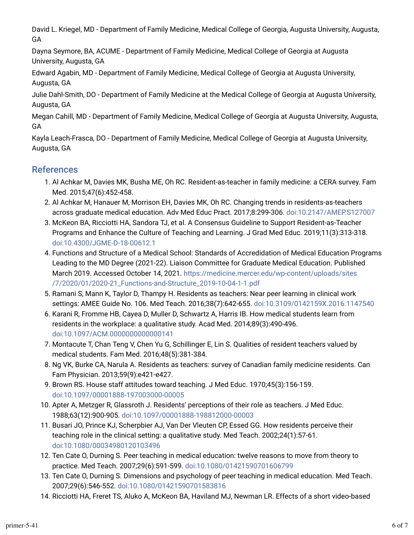David L. Kriegel, MD - Department of Family Medicine, Medical College of Georgia, Augusta University, Augusta, GA

Dayna Seymore, BA, ACUME - Department of Family Medicine, Medical College of Georgia at Augusta University, Augusta, GA

Edward Agabin, MD - Department of Family Medicine, Medical College of Georgia at Augusta University, Augusta, GA

Julie Dahl-Smith, DO - Department of Family Medicine at the Medical College of Georgia at Augusta University, Augusta, GA

Megan Cahill, MD - Department of Family Medicine, Medical College of Georgia at Augusta University, Augusta, GA

Kayla Leach-Frasca, DO - Department of Family Medicine, Medical College of Georgia at Augusta University, Augusta, GA

### References

- 1. Al Achkar M, Davies MK, Busha ME, Oh RC. Resident-as-teacher in family medicine: a CERA survey. Fam Med. 2015;47(6):452-458.
- 2. Al Achkar M, Hanauer M, Morrison EH, Davies MK, Oh RC. Changing trends in residents-as-teachers across graduate medical education. Adv Med Educ Pract. 2017;8:299-306. [doi:10.2147/AMEP.S127007](https://doi.org/10.2147/AMEP.S127007)
- 3. McKeon BA, Ricciotti HA, Sandora TJ, et al. A Consensus Guideline to Support Resident-as-Teacher Programs and Enhance the Culture of Teaching and Learning. J Grad Med Educ. 2019;11(3):313-318. [doi:10.4300/JGME-D-18-00612.1](https://doi.org/10.4300/JGME-D-18-00612.1)
- 4. Functions and Structure of a Medical School: Standards of Accredidation of Medical Education Programs Leading to the MD Degree (2021-22). Liaison Committee for Graduate Medical Education. Published March 2019. Accessed October 14, 2021. [https://medicine.mercer.edu/wp-content/uploads/sites](https://medicine.mercer.edu/wp-content/uploads/sites/7/2020/01/2020-21_Functions-and-Structure_2019-10-04-1-1.pdf) [/7/2020/01/2020-21\\_Functions-and-Structure\\_2019-10-04-1-1.pdf](https://medicine.mercer.edu/wp-content/uploads/sites/7/2020/01/2020-21_Functions-and-Structure_2019-10-04-1-1.pdf)
- 5. Ramani S, Mann K, Taylor D, Thampy H. Residents as teachers: Near peer learning in clinical work settings: AMEE Guide No. 106. Med Teach. 2016;38(7):642-655. [doi:10.3109/0142159X.2016.1147540](https://doi.org/10.3109/0142159X.2016.1147540)
- o. Karani R, Fromme HB, Cayea D, Muller D, Schwartz A, Harris IB. How medical students learn from residents in the workplace: a qualitative study. Acad Med. 2014;89(3):490-496. [doi:10.1097/ACM.0000000000000141](https://doi.org/10.1097/ACM.0000000000000141)
- 7. Montacute T, Chan Teng V, Chen Yu G, Schillinger E, Lin S. Qualities of resident teachers valued by medical students. Fam Med. 2016;48(5):381-384.
- 8. Ng VK, Burke CA, Narula A. Residents as teachers: survey of Canadian family medicine residents. Can Fam Physician. 2013;59(9):e421-e427.
- 9. Brown RS. House staff attitudes toward teaching. J Med Educ. 1970;45(3):156-159. [doi:10.1097/00001888-197003000-00005](https://doi.org/10.1097/00001888-197003000-00005)
- 10. Apter A, Metzger R, Glassroth J. Residents' perceptions of their role as teachers. J Med Educ. 1988;63(12):900-905. [doi:10.1097/00001888-198812000-00003](https://doi.org/10.1097/00001888-198812000-00003)
- 11. Busari JO, Prince KJ, Scherpbier AJ, Van Der Vleuten CP, Essed GG. How residents perceive their teaching role in the clinical setting: a qualitative study. Med Teach. 2002;24(1):57-61. [doi:10.1080/00034980120103496](https://doi.org/10.1080/00034980120103496)
- 12. Ten Cate O, Durning S. Peer teaching in medical education: twelve reasons to move from theory to practice. Med Teach. 2007;29(6):591-599. [doi:10.1080/01421590701606799](https://doi.org/10.1080/01421590701606799)
- 13. Ten Cate O, Durning S. Dimensions and psychology of peer teaching in medical education. Med Teach. 2007;29(6):546-552. [doi:10.1080/01421590701583816](https://doi.org/10.1080/01421590701583816)
- 14. Ricciotti HA, Freret TS, Aluko A, McKeon BA, Haviland MJ, Newman LR. Effects of a short video-based